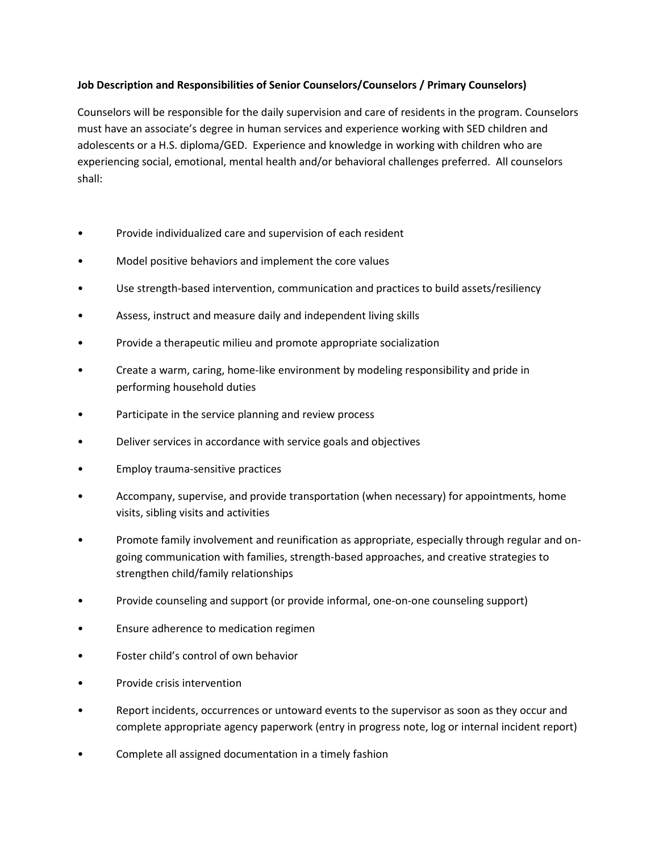## **Job Description and Responsibilities of Senior Counselors/Counselors / Primary Counselors)**

Counselors will be responsible for the daily supervision and care of residents in the program. Counselors must have an associate's degree in human services and experience working with SED children and adolescents or a H.S. diploma/GED. Experience and knowledge in working with children who are experiencing social, emotional, mental health and/or behavioral challenges preferred. All counselors shall:

- Provide individualized care and supervision of each resident
- Model positive behaviors and implement the core values
- Use strength-based intervention, communication and practices to build assets/resiliency
- Assess, instruct and measure daily and independent living skills
- Provide a therapeutic milieu and promote appropriate socialization
- Create a warm, caring, home-like environment by modeling responsibility and pride in performing household duties
- Participate in the service planning and review process
- Deliver services in accordance with service goals and objectives
- Employ trauma-sensitive practices
- Accompany, supervise, and provide transportation (when necessary) for appointments, home visits, sibling visits and activities
- Promote family involvement and reunification as appropriate, especially through regular and ongoing communication with families, strength-based approaches, and creative strategies to strengthen child/family relationships
- Provide counseling and support (or provide informal, one-on-one counseling support)
- Ensure adherence to medication regimen
- Foster child's control of own behavior
- Provide crisis intervention
- Report incidents, occurrences or untoward events to the supervisor as soon as they occur and complete appropriate agency paperwork (entry in progress note, log or internal incident report)
- Complete all assigned documentation in a timely fashion